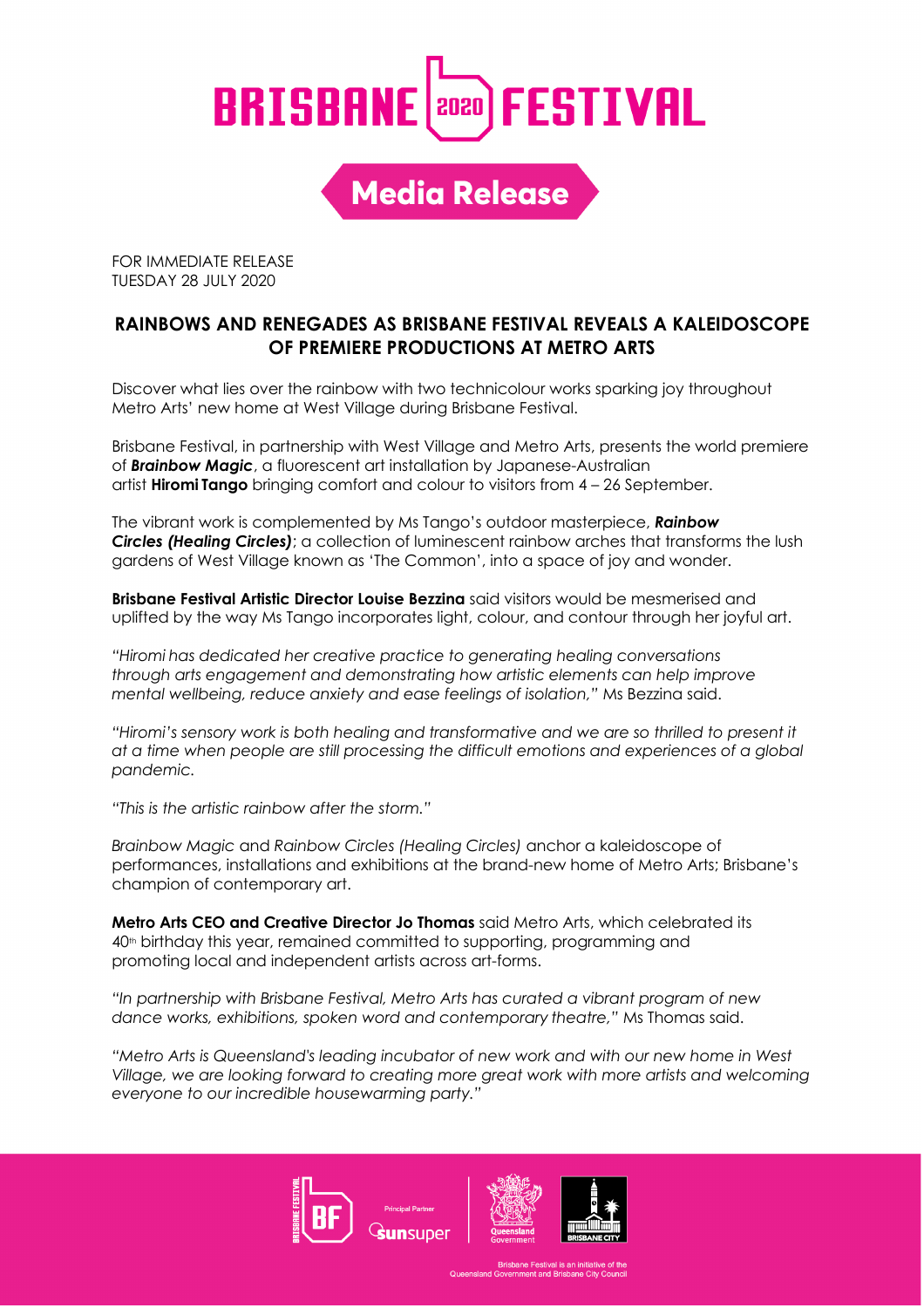## **BRISBANE anal FESTIVAL**

**Media Release** 

FOR IMMEDIATE RELEASE TUESDAY 28 JULY 2020

#### **RAINBOWS AND RENEGADES AS BRISBANE FESTIVAL REVEALS A KALEIDOSCOPE OF PREMIERE PRODUCTIONS AT METRO ARTS**

Discover what lies over the rainbow with two technicolour works sparking joy throughout Metro Arts' new home at West Village during Brisbane Festival.

Brisbane Festival, in partnership with West Village and Metro Arts, presents the world premiere of *Brainbow Magic*, a fluorescent art installation by Japanese-Australian artist **Hiromi Tango** bringing comfort and colour to visitors from 4 – 26 September.

The vibrant work is complemented by Ms Tango's outdoor masterpiece, *Rainbow Circles (Healing Circles)*; a collection of luminescent rainbow arches that transforms the lush gardens of West Village known as 'The Common', into a space of joy and wonder.

**Brisbane Festival Artistic Director Louise Bezzina** said visitors would be mesmerised and uplifted by the way Ms Tango incorporates light, colour, and contour through her joyful art.

*"Hiromi has dedicated her creative practice to generating healing conversations through arts engagement and demonstrating how artistic elements can help improve mental wellbeing, reduce anxiety and ease feelings of isolation,"* Ms Bezzina said.

*"Hiromi's sensory work is both healing and transformative and we are so thrilled to present it at a time when people are still processing the difficult emotions and experiences of a global pandemic.*

*"This is the artistic rainbow after the storm."*

*Brainbow Magic* and *Rainbow Circles (Healing Circles)* anchor a kaleidoscope of performances, installations and exhibitions at the brand-new home of Metro Arts; Brisbane's champion of contemporary art.

**Metro Arts CEO and Creative Director Jo Thomas** said Metro Arts, which celebrated its 40th birthday this year, remained committed to supporting, programming and promoting local and independent artists across art-forms.

*"In partnership with Brisbane Festival, Metro Arts has curated a vibrant program of new dance works, exhibitions, spoken word and contemporary theatre,"* Ms Thomas said.

*"Metro Arts is Queensland's leading incubator of new work and with our new home in West Village, we are looking forward to creating more great work with more artists and welcoming everyone to our incredible housewarming party."*

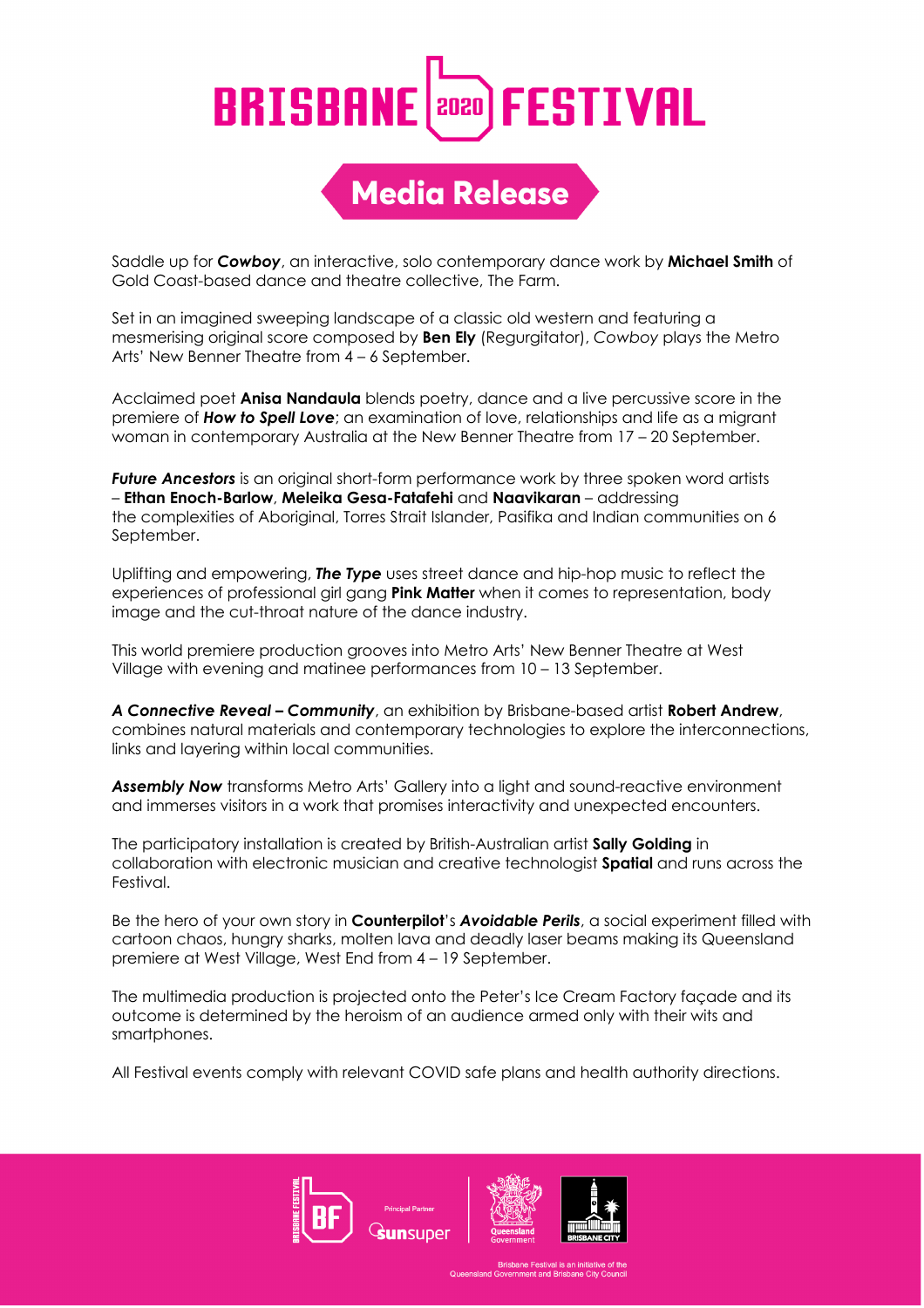#### **BRISBANE FESTIVAL** 2020

### **Media Release**

Saddle up for *Cowboy*, an interactive, solo contemporary dance work by **Michael Smith** of Gold Coast-based dance and theatre collective, The Farm.

Set in an imagined sweeping landscape of a classic old western and featuring a mesmerising original score composed by **Ben Ely** (Regurgitator), *Cowboy* plays the Metro Arts' New Benner Theatre from 4 – 6 September.

Acclaimed poet **Anisa Nandaula** blends poetry, dance and a live percussive score in the premiere of *How to Spell Love*; an examination of love, relationships and life as a migrant woman in contemporary Australia at the New Benner Theatre from 17 – 20 September.

*Future Ancestors* is an original short-form performance work by three spoken word artists – **Ethan Enoch-Barlow**, **Meleika Gesa-Fatafehi** and **Naavikaran** – addressing the complexities of Aboriginal, Torres Strait Islander, Pasifika and Indian communities on 6 September.

Uplifting and empowering, *The Type* uses street dance and hip-hop music to reflect the experiences of professional girl gang **Pink Matter** when it comes to representation, body image and the cut-throat nature of the dance industry.

This world premiere production grooves into Metro Arts' New Benner Theatre at West Village with evening and matinee performances from 10 – 13 September.

*A Connective Reveal – Community*, an exhibition by Brisbane-based artist **Robert Andrew**, combines natural materials and contemporary technologies to explore the interconnections, links and layering within local communities.

*Assembly Now* transforms Metro Arts' Gallery into a light and sound-reactive environment and immerses visitors in a work that promises interactivity and unexpected encounters.

The participatory installation is created by British-Australian artist **Sally Golding** in collaboration with electronic musician and creative technologist **Spatial** and runs across the Festival.

Be the hero of your own story in **Counterpilot**'s *Avoidable Perils*, a social experiment filled with cartoon chaos, hungry sharks, molten lava and deadly laser beams making its Queensland premiere at West Village, West End from 4 – 19 September.

The multimedia production is projected onto the Peter's Ice Cream Factory façade and its outcome is determined by the heroism of an audience armed only with their wits and smartphones.

All Festival events comply with relevant COVID safe plans and health authority directions.





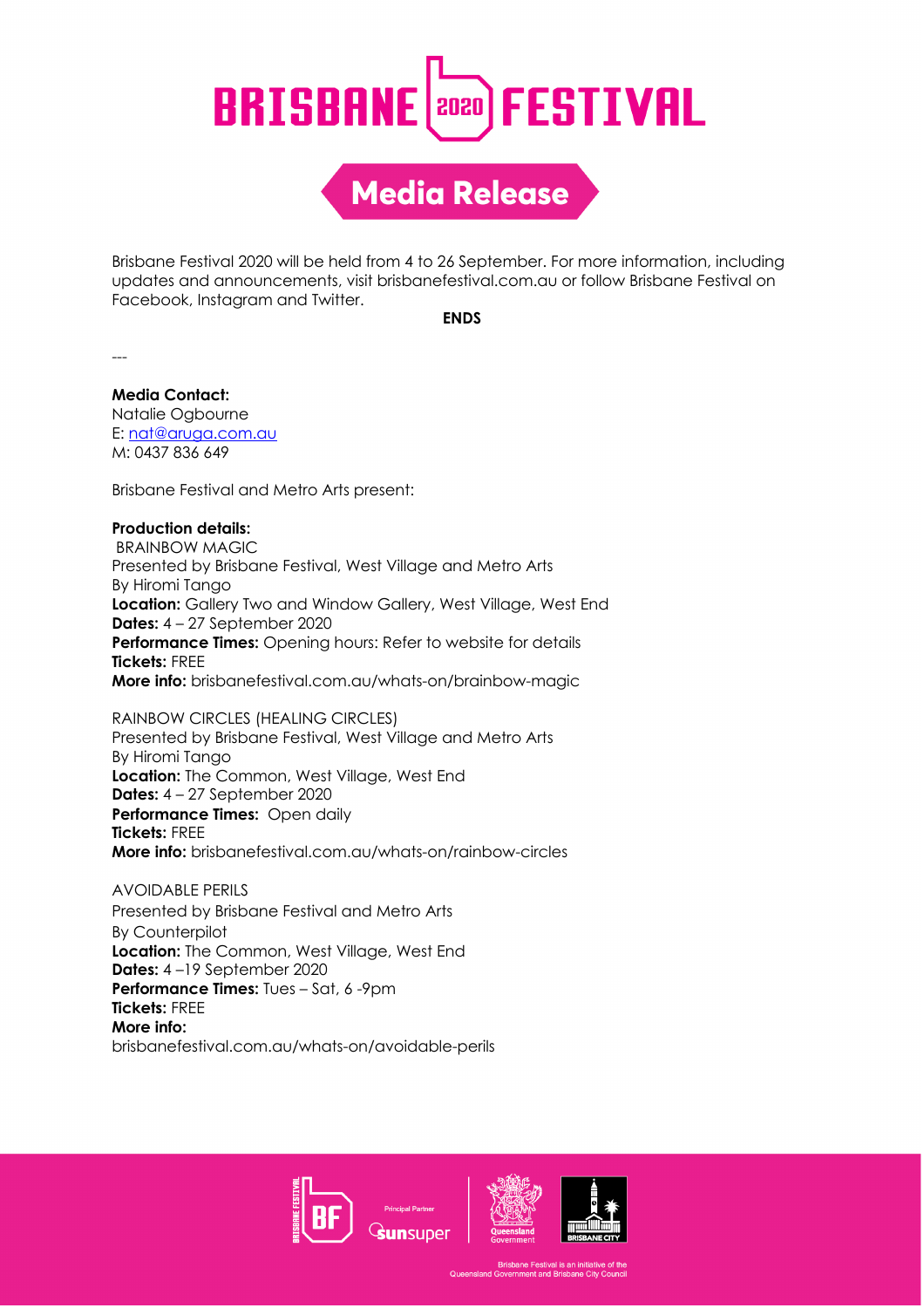## **BRISBANE Papa) FESTIVAL**

**Media Release** 

Brisbane Festival 2020 will be held from 4 to 26 September. For more information, including updates and announcements, visit brisbanefestival.com.au or follow Brisbane Festival on Facebook, Instagram and Twitter.

**ENDS**

---

**Media Contact:** Natalie Ogbourne E: nat@aruga.com.au M: 0437 836 649

Brisbane Festival and Metro Arts present:

#### **Production details:**

BRAINBOW MAGIC Presented by Brisbane Festival, West Village and Metro Arts By Hiromi Tango **Location:** Gallery Two and Window Gallery, West Village, West End **Dates:** 4 – 27 September 2020 **Performance Times:** Opening hours: Refer to website for details **Tickets:** FREE **More info:** brisbanefestival.com.au/whats-on/brainbow-magic

RAINBOW CIRCLES (HEALING CIRCLES) Presented by Brisbane Festival, West Village and Metro Arts By Hiromi Tango **Location:** The Common, West Village, West End **Dates:** 4 – 27 September 2020 **Performance Times:** Open daily **Tickets:** FREE **More info:** brisbanefestival.com.au/whats-on/rainbow-circles

AVOIDABLE PERILS Presented by Brisbane Festival and Metro Arts By Counterpilot **Location:** The Common, West Village, West End **Dates:** 4 –19 September 2020 **Performance Times:** Tues – Sat, 6 -9pm **Tickets:** FREE **More info:** brisbanefestival.com.au/whats-on/avoidable-perils







he Festival is an initiati<mark>.</mark><br>nent and Brisbane Citv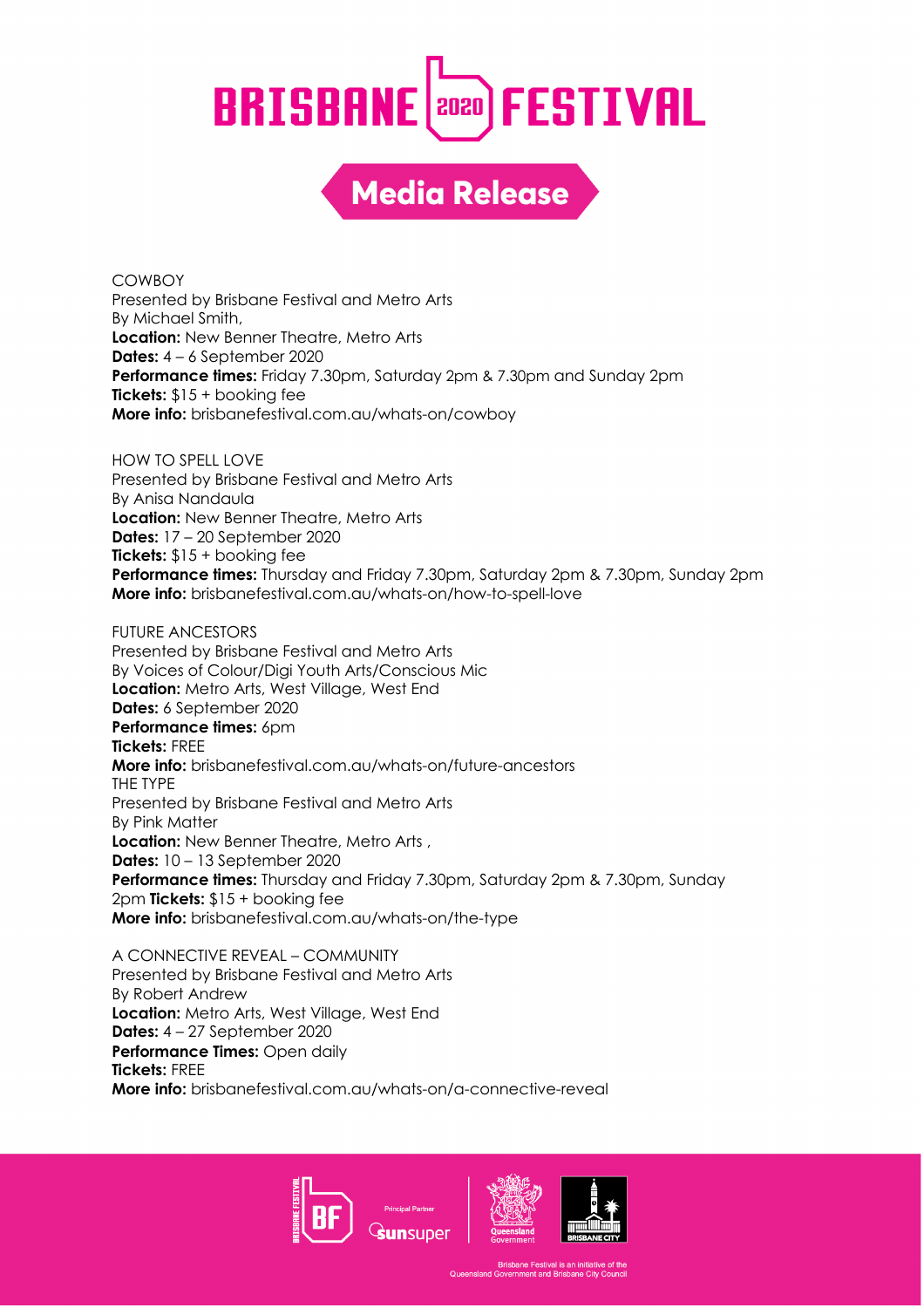## **BRISBANE** (2020) FESTIVAL

**Media Release** 

**COWBOY** Presented by Brisbane Festival and Metro Arts By Michael Smith, **Location:** New Benner Theatre, Metro Arts **Dates:** 4 – 6 September 2020 **Performance times:** Friday 7.30pm, Saturday 2pm & 7.30pm and Sunday 2pm **Tickets:** \$15 + booking fee **More info:** brisbanefestival.com.au/whats-on/cowboy

HOW TO SPELL LOVE Presented by Brisbane Festival and Metro Arts By Anisa Nandaula **Location:** New Benner Theatre, Metro Arts **Dates:** 17 – 20 September 2020 **Tickets:** \$15 + booking fee **Performance times:** Thursday and Friday 7.30pm, Saturday 2pm & 7.30pm, Sunday 2pm **More info:** brisbanefestival.com.au/whats-on/how-to-spell-love

FUTURE ANCESTORS Presented by Brisbane Festival and Metro Arts By Voices of Colour/Digi Youth Arts/Conscious Mic **Location:** Metro Arts, West Village, West End **Dates:** 6 September 2020 **Performance times: 6pm Tickets:** FREE **More info:** brisbanefestival.com.au/whats-on/future-ancestors THE TYPE Presented by Brisbane Festival and Metro Arts By Pink Matter **Location:** New Benner Theatre, Metro Arts , **Dates:** 10 – 13 September 2020 **Performance times:** Thursday and Friday 7.30pm, Saturday 2pm & 7.30pm, Sunday 2pm **Tickets:** \$15 + booking fee **More info:** brisbanefestival.com.au/whats-on/the-type

A CONNECTIVE REVEAL – COMMUNITY Presented by Brisbane Festival and Metro Arts By Robert Andrew **Location:** Metro Arts, West Village, West End **Dates:** 4 – 27 September 2020 **Performance Times:** Open daily **Tickets:** FREE **More info:** brisbanefestival.com.au/whats-on/a-connective-reveal